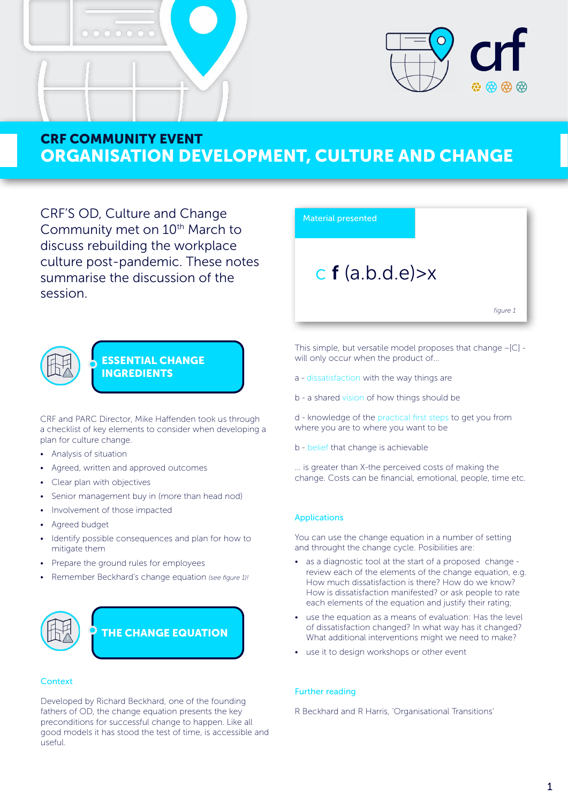



CRF'S OD, Culture and Change Community met on 10<sup>th</sup> March to discuss rebuilding the workplace culture post-pandemic. These notes summarise the discussion of the session.



## ESSENTIAL CHANGE INGREDIENTS

CRF and PARC Director, Mike Haffenden took us through a checklist of key elements to consider when developing a plan for culture change.

- Analysis of situation
- Agreed, written and approved outcomes
- Clear plan with objectives
- Senior management buy in (more than head nod)
- Involvement of those impacted
- Agreed budget
- Identify possible consequences and plan for how to mitigate them
- Prepare the ground rules for employees
- Remember Beckhard's change equation *(see figure 1)!*



### **Context**

Developed by Richard Beckhard, one of the founding fathers of OD, the change equation presents the key preconditions for successful change to happen. Like all good models it has stood the test of time, is accessible and useful.



This simple, but versatile model proposes that change –[C] will only occur when the product of...

- a dissatisfaction with the way things are
- b a shared vision of how things should be

d - knowledge of the practical first steps to get you from where you are to where you want to be

b - belief that change is achievable

... is greater than X-the perceived costs of making the change. Costs can be financial, emotional, people, time etc.

### Applications

You can use the change equation in a number of setting and throught the change cycle. Posibilities are:

- as a diagnostic tool at the start of a proposed change review each of the elements of the change equation, e.g. How much dissatisfaction is there? How do we know? How is dissatisfaction manifested? or ask people to rate each elements of the equation and justify their rating;
- use the equation as a means of evaluation: Has the level of dissatisfaction changed? In what way has it changed? What additional interventions might we need to make?
- use it to design workshops or other event

### Further reading

R Beckhard and R Harris, 'Organisational Transitions'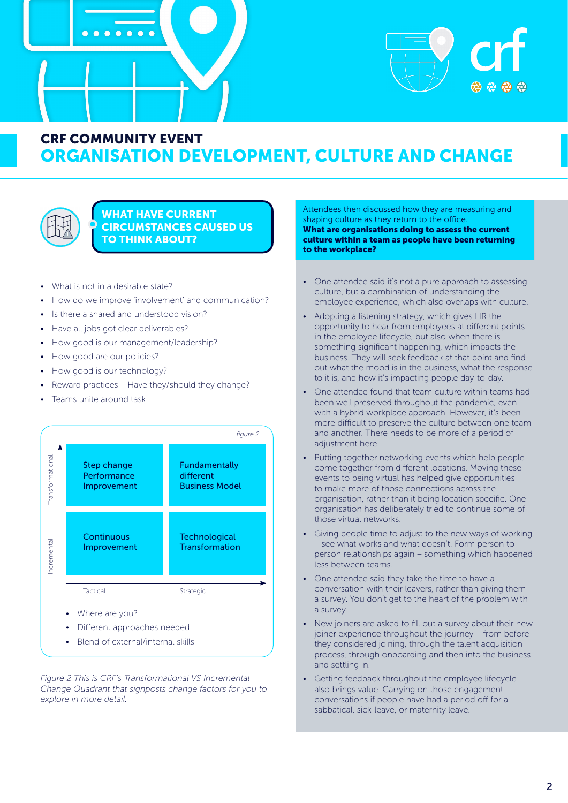





## WHAT HAVE CURRENT CIRCUMSTANCES CAUSED US TO THINK ABOUT?

- What is not in a desirable state?
- How do we improve 'involvement' and communication?
- Is there a shared and understood vision?
- Have all jobs got clear deliverables?
- How good is our management/leadership?
- How good are our policies?
- How good is our technology?
- Reward practices Have they/should they change?
- Teams unite around task



• Blend of external/internal skills

*Figure 2 This is CRF's Transformational VS Incremental Change Quadrant that signposts change factors for you to explore in more detail.* 

Attendees then discussed how they are measuring and shaping culture as they return to the office. What are organisations doing to assess the current culture within a team as people have been returning to the workplace?

- One attendee said it's not a pure approach to assessing culture, but a combination of understanding the employee experience, which also overlaps with culture.
- Adopting a listening strategy, which gives HR the opportunity to hear from employees at different points in the employee lifecycle, but also when there is something significant happening, which impacts the business. They will seek feedback at that point and find out what the mood is in the business, what the response to it is, and how it's impacting people day-to-day.
- One attendee found that team culture within teams had been well preserved throughout the pandemic, even with a hybrid workplace approach. However, it's been more difficult to preserve the culture between one team and another. There needs to be more of a period of adjustment here.
- Putting together networking events which help people come together from different locations. Moving these events to being virtual has helped give opportunities to make more of those connections across the organisation, rather than it being location specific. One organisation has deliberately tried to continue some of those virtual networks.
- Giving people time to adjust to the new ways of working – see what works and what doesn't. Form person to person relationships again – something which happened less between teams.
- One attendee said they take the time to have a conversation with their leavers, rather than giving them a survey. You don't get to the heart of the problem with a survey.
- New joiners are asked to fill out a survey about their new joiner experience throughout the journey – from before they considered joining, through the talent acquisition process, through onboarding and then into the business and settling in.
- Getting feedback throughout the employee lifecycle also brings value. Carrying on those engagement conversations if people have had a period off for a sabbatical, sick-leave, or maternity leave.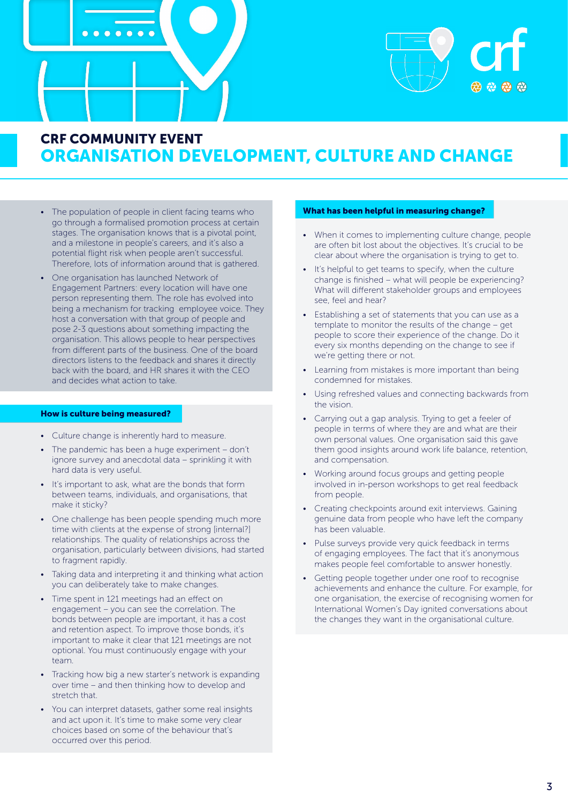



- The population of people in client facing teams who go through a formalised promotion process at certain stages. The organisation knows that is a pivotal point, and a milestone in people's careers, and it's also a potential flight risk when people aren't successful. Therefore, lots of information around that is gathered.
- One organisation has launched Network of Engagement Partners: every location will have one person representing them. The role has evolved into being a mechanism for tracking employee voice. They host a conversation with that group of people and pose 2-3 questions about something impacting the organisation. This allows people to hear perspectives from different parts of the business. One of the board directors listens to the feedback and shares it directly back with the board, and HR shares it with the CEO and decides what action to take.

#### How is culture being measured?

- Culture change is inherently hard to measure.
- The pandemic has been a huge experiment don't ignore survey and anecdotal data – sprinkling it with hard data is very useful.
- It's important to ask, what are the bonds that form between teams, individuals, and organisations, that make it sticky?
- One challenge has been people spending much more time with clients at the expense of strong [internal?] relationships. The quality of relationships across the organisation, particularly between divisions, had started to fragment rapidly.
- Taking data and interpreting it and thinking what action you can deliberately take to make changes.
- Time spent in 121 meetings had an effect on engagement – you can see the correlation. The bonds between people are important, it has a cost and retention aspect. To improve those bonds, it's important to make it clear that 121 meetings are not optional. You must continuously engage with your team.
- Tracking how big a new starter's network is expanding over time – and then thinking how to develop and stretch that.
- You can interpret datasets, gather some real insights and act upon it. It's time to make some very clear choices based on some of the behaviour that's occurred over this period.

#### What has been helpful in measuring change?

- When it comes to implementing culture change, people are often bit lost about the objectives. It's crucial to be clear about where the organisation is trying to get to.
- It's helpful to get teams to specify, when the culture change is finished – what will people be experiencing? What will different stakeholder groups and employees see, feel and hear?
- Establishing a set of statements that you can use as a template to monitor the results of the change – get people to score their experience of the change. Do it every six months depending on the change to see if we're getting there or not.
- Learning from mistakes is more important than being condemned for mistakes.
- Using refreshed values and connecting backwards from the vision.
- Carrying out a gap analysis. Trying to get a feeler of people in terms of where they are and what are their own personal values. One organisation said this gave them good insights around work life balance, retention, and compensation.
- Working around focus groups and getting people involved in in-person workshops to get real feedback from people.
- Creating checkpoints around exit interviews. Gaining genuine data from people who have left the company has been valuable.
- Pulse surveys provide very quick feedback in terms of engaging employees. The fact that it's anonymous makes people feel comfortable to answer honestly.
- Getting people together under one roof to recognise achievements and enhance the culture. For example, for one organisation, the exercise of recognising women for International Women's Day ignited conversations about the changes they want in the organisational culture.